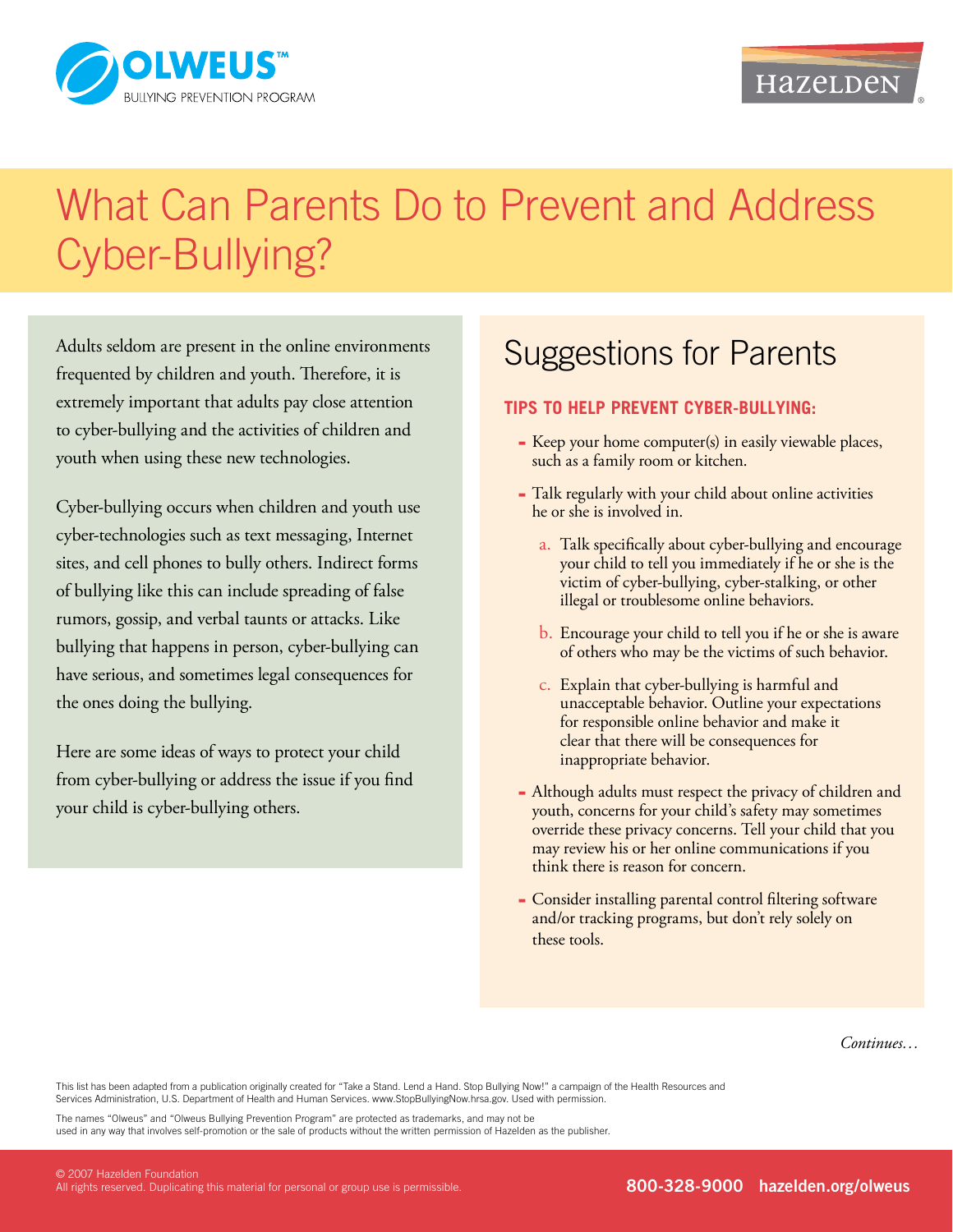

### HazeLDeN

# What Can Parents Do to Prevent and Address Cyber-Bullying?

Adults seldom are present in the online environments frequented by children and youth. Therefore, it is extremely important that adults pay close attention to cyber-bullying and the activities of children and youth when using these new technologies.

Cyber-bullying occurs when children and youth use cyber-technologies such as text messaging, Internet sites, and cell phones to bully others. Indirect forms of bullying like this can include spreading of false rumors, gossip, and verbal taunts or attacks. Like bullying that happens in person, cyber-bullying can have serious, and sometimes legal consequences for the ones doing the bullying.

Here are some ideas of ways to protect your child from cyber-bullying or address the issue if you find your child is cyber-bullying others.

## Suggestions for Parents

### **Tips to help prevent cyber-bullying:**

- Keep your home computer(s) in easily viewable places, such as a family room or kitchen.
- Talk regularly with your child about online activities he or she is involved in.
	- a. Talk specifically about cyber-bullying and encourage your child to tell you immediately if he or she is the victim of cyber-bullying, cyber-stalking, or other illegal or troublesome online behaviors.
	- b. Encourage your child to tell you if he or she is aware of others who may be the victims of such behavior.
	- c. Explain that cyber-bullying is harmful and unacceptable behavior. Outline your expectations for responsible online behavior and make it clear that there will be consequences for inappropriate behavior.
- Although adults must respect the privacy of children and ▀ youth, concerns for your child's safety may sometimes override these privacy concerns. Tell your child that you may review his or her online communications if you think there is reason for concern.
- Consider installing parental control filtering software and/or tracking programs, but don't rely solely on these tools.

*Continues…*

This list has been adapted from a publication originally created for "Take a Stand. Lend a Hand. Stop Bullying Now!" a campaign of the Health Resources and Services Administration, U.S. Department of Health and Human Services. www.StopBullyingNow.hrsa.gov. Used with permission.

The names "Olweus" and "Olweus Bullying Prevention Program" are protected as trademarks, and may not be used in any way that involves self-promotion or the sale of products without the written permission of Hazelden as the publisher.